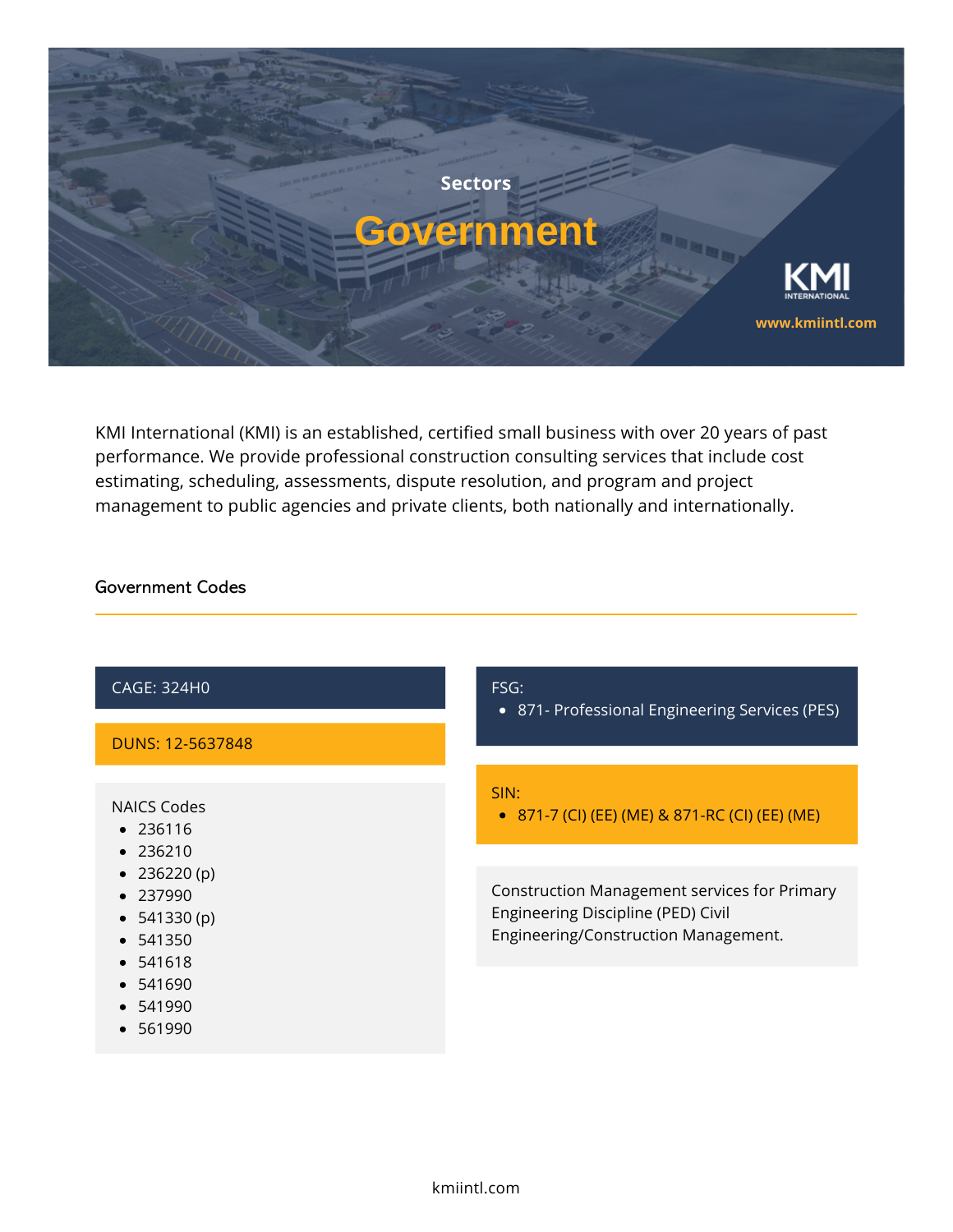

KMI International (KMI) is an established, certified small business with over 20 years of past performance. We provide professional construction consulting services that include cost estimating, scheduling, assessments, dispute resolution, and program and project management to public agencies and private clients, both nationally and internationally.

## Government Codes

| <b>CAGE: 324H0</b>                                        | FSG:<br>871- Professional Engineering Services (PES)<br>$\bullet$                                                                 |
|-----------------------------------------------------------|-----------------------------------------------------------------------------------------------------------------------------------|
| DUNS: 12-5637848                                          |                                                                                                                                   |
| NAICS Codes<br>• 236116                                   | SIN:<br>• 871-7 (CI) (EE) (ME) & 871-RC (CI) (EE) (ME)                                                                            |
| • 236210<br>• $236220(p)$                                 |                                                                                                                                   |
| $\bullet$ 237990<br>• $541330(p)$<br>• 541350<br>• 541618 | <b>Construction Management services for Primary</b><br>Engineering Discipline (PED) Civil<br>Engineering/Construction Management. |
| $\bullet$ 541690                                          |                                                                                                                                   |
| $\bullet$ 541990<br>561990                                |                                                                                                                                   |